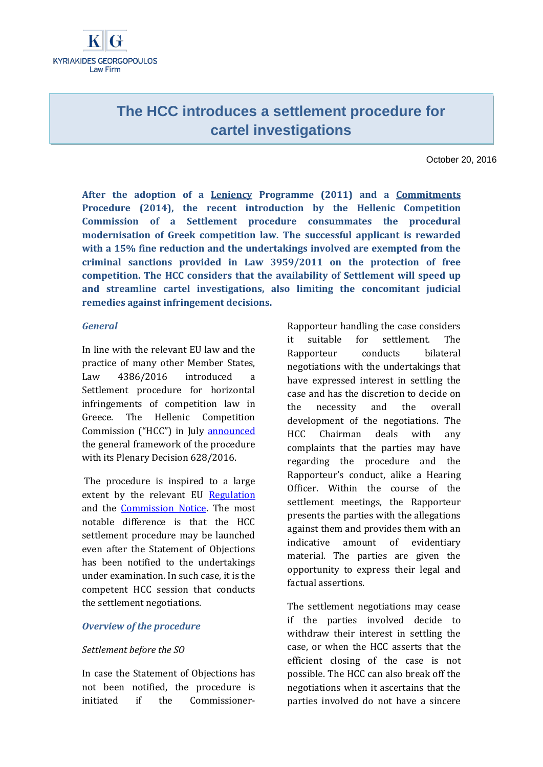IG-**KYRIAKIDES GEORGOPOULOS** Law Firm

# **The HCC introduces a settlement procedure for cartel investigations**

October 20, 2016

**After the adoption of a [Leniency](http://www.epant.gr/news_details.php?Lang=en&id=89&nid=378) Programme (2011) and a [Commitments](http://www.epant.gr/news_details.php?Lang=en&id=89&nid=647) Procedure (2014), the recent introduction by the Hellenic Competition Commission of a Settlement procedure consummates the procedural modernisation of Greek competition law. The successful applicant is rewarded with a 15% fine reduction and the undertakings involved are exempted from the criminal sanctions provided in Law 3959/2011 on the protection of free competition. The HCC considers that the availability of Settlement will speed up and streamline cartel investigations, also limiting the concomitant judicial remedies against infringement decisions.**

### *General*

In line with the relevant EU law and the practice of many other Member States, Law 4386/2016 introduced a Settlement procedure for horizontal infringements of competition law in Greece. The Hellenic Competition Commission ("HCC") in July [announced](http://www.epant.gr/news_details.php?Lang=en&id=89&nid=882) the general framework of the procedure with its Plenary Decision 628/2016.

The procedure is inspired to a large extent by the relevant EU [Regulation](http://eur-lex.europa.eu/legal-content/EN/ALL/?uri=CELEX%3A32004R0773) and the [Commission Notice.](http://eur-lex.europa.eu/legal-content/EN/ALL/?uri=CELEX%3A52008XC0702(01)) The most notable difference is that the HCC settlement procedure may be launched even after the Statement of Objections has been notified to the undertakings under examination. In such case, it is the competent HCC session that conducts the settlement negotiations.

### *Overview of the procedure*

### *Settlement before the SO*

In case the Statement of Objections has not been notified, the procedure is initiated if the CommissionerRapporteur handling the case considers it suitable for settlement. The Rapporteur conducts bilateral negotiations with the undertakings that have expressed interest in settling the case and has the discretion to decide on the necessity and the overall development of the negotiations. The HCC Chairman deals with any complaints that the parties may have regarding the procedure and the Rapporteur's conduct, alike a Hearing Officer. Within the course of the settlement meetings, the Rapporteur presents the parties with the allegations against them and provides them with an indicative amount of evidentiary material. The parties are given the opportunity to express their legal and factual assertions.

The settlement negotiations may cease if the parties involved decide to withdraw their interest in settling the case, or when the HCC asserts that the efficient closing of the case is not possible. The HCC can also break off the negotiations when it ascertains that the parties involved do not have a sincere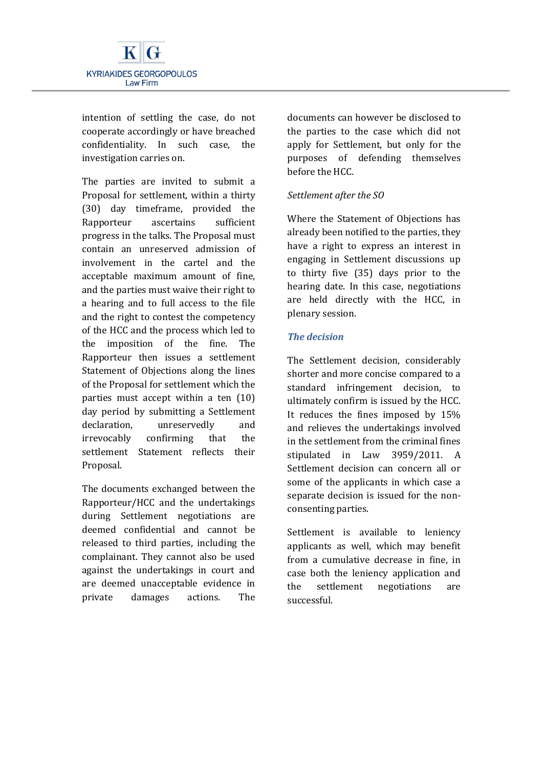

intention of settling the case, do not cooperate accordingly or have breached confidentiality. In such case, the investigation carries on.

The parties are invited to submit a Proposal for settlement, within a thirty (30) day timeframe, provided the Rapporteur ascertains sufficient progress in the talks. The Proposal must contain an unreserved admission of involvement in the cartel and the acceptable maximum amount of fine, and the parties must waive their right to a hearing and to full access to the file and the right to contest the competency of the HCC and the process which led to the imposition of the fine. The Rapporteur then issues a settlement Statement of Objections along the lines of the Proposal for settlement which the parties must accept within a ten (10) day period by submitting a Settlement declaration, unreservedly and irrevocably confirming that the settlement Statement reflects their Proposal.

The documents exchanged between the Rapporteur/HCC and the undertakings during Settlement negotiations are deemed confidential and cannot be released to third parties, including the complainant. They cannot also be used against the undertakings in court and are deemed unacceptable evidence in private damages actions. The documents can however be disclosed to the parties to the case which did not apply for Settlement, but only for the purposes of defending themselves before the HCC.

# *Settlement after the SO*

Where the Statement of Objections has already been notified to the parties, they have a right to express an interest in engaging in Settlement discussions up to thirty five (35) days prior to the hearing date. In this case, negotiations are held directly with the HCC, in plenary session.

# *The decision*

The Settlement decision, considerably shorter and more concise compared to a standard infringement decision, to ultimately confirm is issued by the HCC. It reduces the fines imposed by 15% and relieves the undertakings involved in the settlement from the criminal fines stipulated in Law 3959/2011. A Settlement decision can concern all or some of the applicants in which case a separate decision is issued for the nonconsenting parties.

Settlement is available to leniency applicants as well, which may benefit from a cumulative decrease in fine, in case both the leniency application and the settlement negotiations are successful.